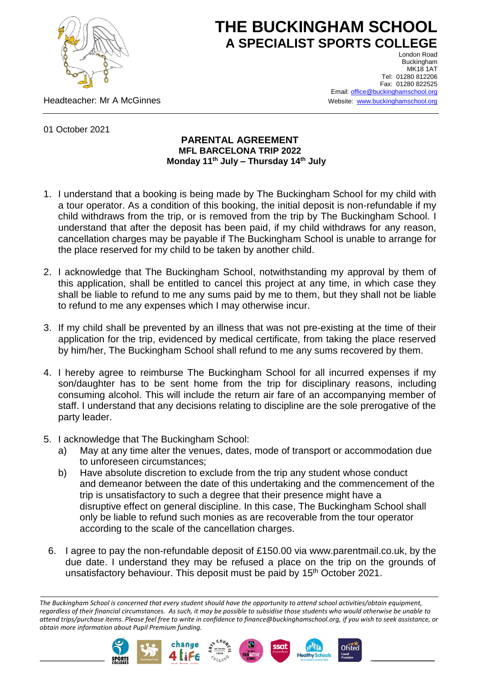

## **THE BUCKINGHAM SCHOOL A SPECIALIST SPORTS COLLEGE**

Headteacher: Mr A McGinnes

London Road Buckingham **MK18 1AT** Tel: 01280 812206 Fax: 01280 822525 Email[: office@buckinghamschool.org](mailto:office@buckinghamschool.org) Website: [www.buckinghamschool.org](http://www.buckinghamschool.org/)

01 October 2021

## **PARENTAL AGREEMENT MFL BARCELONA TRIP 2022 Monday 11th July – Thursday 14th July**

- 1. I understand that a booking is being made by The Buckingham School for my child with a tour operator. As a condition of this booking, the initial deposit is non-refundable if my child withdraws from the trip, or is removed from the trip by The Buckingham School. I understand that after the deposit has been paid, if my child withdraws for any reason, cancellation charges may be payable if The Buckingham School is unable to arrange for the place reserved for my child to be taken by another child.
- 2. I acknowledge that The Buckingham School, notwithstanding my approval by them of this application, shall be entitled to cancel this project at any time, in which case they shall be liable to refund to me any sums paid by me to them, but they shall not be liable to refund to me any expenses which I may otherwise incur.
- 3. If my child shall be prevented by an illness that was not pre-existing at the time of their application for the trip, evidenced by medical certificate, from taking the place reserved by him/her, The Buckingham School shall refund to me any sums recovered by them.
- 4. I hereby agree to reimburse The Buckingham School for all incurred expenses if my son/daughter has to be sent home from the trip for disciplinary reasons, including consuming alcohol. This will include the return air fare of an accompanying member of staff. I understand that any decisions relating to discipline are the sole prerogative of the party leader.
- 5. I acknowledge that The Buckingham School:
	- a) May at any time alter the venues, dates, mode of transport or accommodation due to unforeseen circumstances;
	- b) Have absolute discretion to exclude from the trip any student whose conduct and demeanor between the date of this undertaking and the commencement of the trip is unsatisfactory to such a degree that their presence might have a disruptive effect on general discipline. In this case, The Buckingham School shall only be liable to refund such monies as are recoverable from the tour operator according to the scale of the cancellation charges.
	- 6. I agree to pay the non-refundable deposit of £150.00 via www.parentmail.co.uk, by the due date. I understand they may be refused a place on the trip on the grounds of unsatisfactory behaviour. This deposit must be paid by 15<sup>th</sup> October 2021.

*The Buckingham School is concerned that every student should have the opportunity to attend school activities/obtain equipment, regardless of their financial circumstances. As such, it may be possible to subsidise those students who would otherwise be unable to attend trips/purchase items. Please feel free to write in confidence to finance@buckinghamschool.org, if you wish to seek assistance, or obtain more information about Pupil Premium funding.*